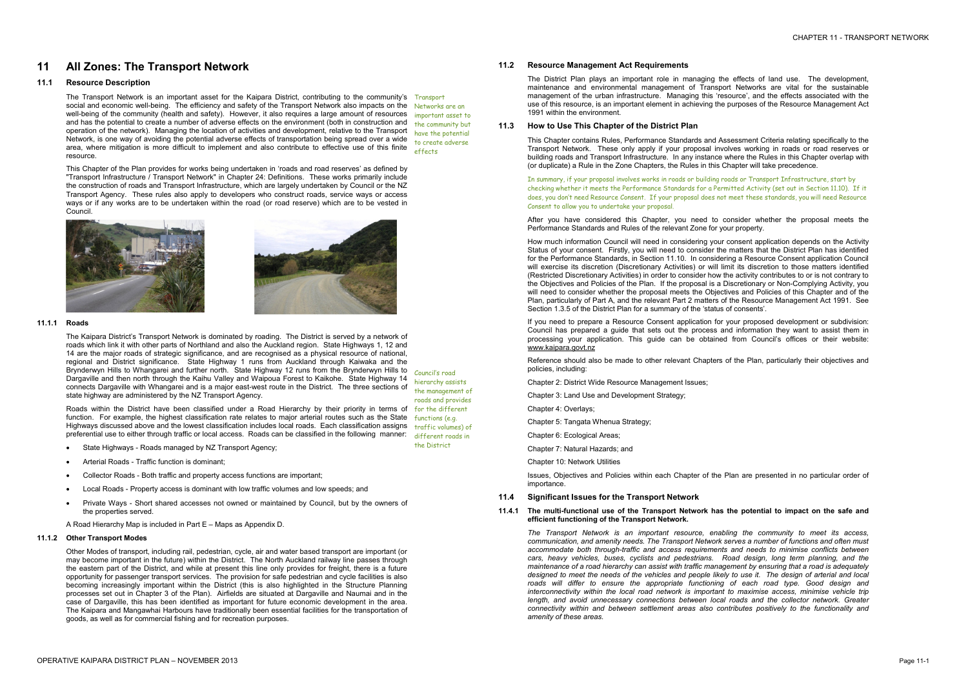# **11 All Zones: The Transport Network**

# **11.1 Resource Description**

This Chapter of the Plan provides for works being undertaken in 'roads and road reserves' as defined by "Transport Infrastructure / Transport Network" in Chapter 24: Definitions. These works primarily include the construction of roads and Transport Infrastructure, which are largely undertaken by Council or the NZ Transport Agency. These rules also apply to developers who construct roads, service ways or access ways or if any works are to be undertaken within the road (or road reserve) which are to be vested in Council.



The Transport Network is an important asset for the Kaipara District, contributing to the community's Transport social and economic well-being. The efficiency and safety of the Transport Network also impacts on the Networks are an well-being of the community (health and safety). However, it also requires a large amount of resources and has the potential to create a number of adverse effects on the environment (both in construction and operation of the network). Managing the location of activities and development, relative to the Transport Network, is one way of avoiding the potential adverse effects of transportation being spread over a wide area, where mitigation is more difficult to implement and also contribute to effective use of this finite resource. important asset to the community but have the potential to create adverse effects

Roads within the District have been classified under a Road Hierarchy by their priority in terms of for the different function. For example, the highest classification rate relates to major arterial routes such as the State functions (e.g. Highways discussed above and the lowest classification includes local roads. Each classification assigns traffic volumes) of preferential use to either through traffic or local access. Roads can be classified in the following manner:

# **11.1.1 Roads**

The Kaipara District's Transport Network is dominated by roading. The District is served by a network of roads which link it with other parts of Northland and also the Auckland region. State Highways 1, 12 and 14 are the major roads of strategic significance, and are recognised as a physical resource of national, regional and District significance. State Highway 1 runs from Auckland through Kaiwaka and the Brynderwyn Hills to Whangarei and further north. State Highway 12 runs from the Brynderwyn Hills to council's road Dargaville and then north through the Kaihu Valley and Waipoua Forest to Kaikohe. State Highway 14 connects Dargaville with Whangarei and is a major east-west route in the District. The three sections of state highway are administered by the NZ Transport Agency.

- · State Highways Roads managed by NZ Transport Agency;
- · Arterial Roads Traffic function is dominant;
- · Collector Roads Both traffic and property access functions are important;
- · Local Roads Property access is dominant with low traffic volumes and low speeds; and
- · Private Ways Short shared accesses not owned or maintained by Council, but by the owners of the properties served.

A Road Hierarchy Map is included in Part E – Maps as Appendix D.

hierarchy assists the management of roads and provides different roads in the District

#### **11.1.2 Other Transport Modes**

Other Modes of transport, including rail, pedestrian, cycle, air and water based transport are important (or may become important in the future) within the District. The North Auckland railway line passes through the eastern part of the District, and while at present this line only provides for freight, there is a future opportunity for passenger transport services. The provision for safe pedestrian and cycle facilities is also becoming increasingly important within the District (this is also highlighted in the Structure Planning processes set out in Chapter 3 of the Plan). Airfields are situated at Dargaville and Naumai and in the case of Dargaville, this has been identified as important for future economic development in the area. The Kaipara and Mangawhai Harbours have traditionally been essential facilities for the transportation of goods, as well as for commercial fishing and for recreation purposes.

#### **11.2 Resource Management Act Requirements**

The District Plan plays an important role in managing the effects of land use. The development, maintenance and environmental management of Transport Networks are vital for the sustainable management of the urban infrastructure. Managing this 'resource', and the effects associated with the use of this resource, is an important element in achieving the purposes of the Resource Management Act 1991 within the environment.

# **11.3 How to Use This Chapter of the District Plan**

This Chapter contains Rules, Performance Standards and Assessment Criteria relating specifically to the Transport Network. These only apply if your proposal involves working in roads or road reserves or building roads and Transport Infrastructure. In any instance where the Rules in this Chapter overlap with (or duplicate) a Rule in the Zone Chapters, the Rules in this Chapter will take precedence.

In summary, if your proposal involves works in roads or building roads or Transport Infrastructure, start by checking whether it meets the Performance Standards for a Permitted Activity (set out in Section 11.10). If it does, you don't need Resource Consent. If your proposal does not meet these standards, you will need Resource Consent to allow you to undertake your proposal.

After you have considered this Chapter, you need to consider whether the proposal meets the Performance Standards and Rules of the relevant Zone for your property.

How much information Council will need in considering your consent application depends on the Activity Status of your consent. Firstly, you will need to consider the matters that the District Plan has identified for the Performance Standards, in Section 11.10. In considering a Resource Consent application Council will exercise its discretion (Discretionary Activities) or will limit its discretion to those matters identified (Restricted Discretionary Activities) in order to consider how the activity contributes to or is not contrary to the Objectives and Policies of the Plan. If the proposal is a Discretionary or Non-Complying Activity, you will need to consider whether the proposal meets the Objectives and Policies of this Chapter and of the Plan, particularly of Part A, and the relevant Part 2 matters of the Resource Management Act 1991. See Section 1.3.5 of the District Plan for a summary of the 'status of consents'.

If you need to prepare a Resource Consent application for your proposed development or subdivision: Council has prepared a guide that sets out the process and information they want to assist them in processing your application. This guide can be obtained from Council's offices or their website: [www.kaipara.govt.nz](http://www.kaipara.govt.nz)

Reference should also be made to other relevant Chapters of the Plan, particularly their objectives and policies, including:

Chapter 2: District Wide Resource Management Issues;

Chapter 3: Land Use and Development Strategy;

Chapter 4: Overlays;

Chapter 5: Tangata Whenua Strategy;

Chapter 6: Ecological Areas;

Chapter 7: Natural Hazards; and

Chapter 10: Network Utilities

Issues, Objectives and Policies within each Chapter of the Plan are presented in no particular order of importance.

# **11.4 Significant Issues for the Transport Network**

**11.4.1 The multi-functional use of the Transport Network has the potential to impact on the safe and efficient functioning of the Transport Network.** 

*The Transport Network is an important resource, enabling the community to meet its access, communication, and amenity needs. The Transport Network serves a number of functions and often must accommodate both through-traffic and access requirements and needs to minimise conflicts between cars, heavy vehicles, buses, cyclists and pedestrians. Road design, long term planning, and the maintenance of a road hierarchy can assist with traffic management by ensuring that a road is adequately*  designed to meet the needs of the vehicles and people likely to use it. The design of arterial and local *roads will differ to ensure the appropriate functioning of each road type. Good design and interconnectivity within the local road network is important to maximise access, minimise vehicle trip length, and avoid unnecessary connections between local roads and the collector network. Greater connectivity within and between settlement areas also contributes positively to the functionality and amenity of these areas.*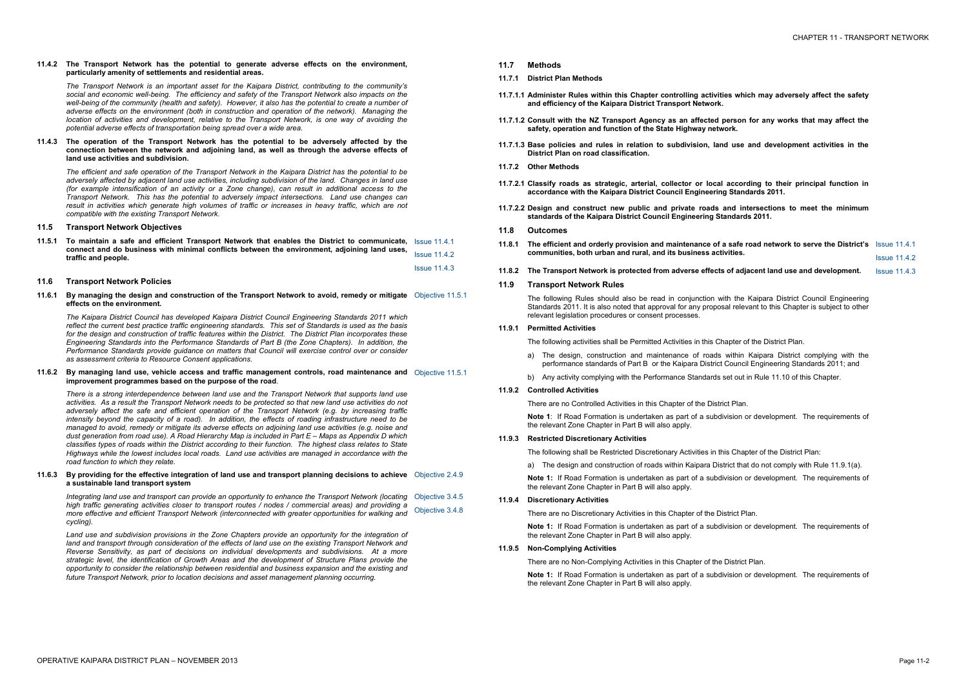# **11.4.2 The Transport Network has the potential to generate adverse effects on the environment, particularly amenity of settlements and residential areas.**

*The Transport Network is an important asset for the Kaipara District, contributing to the community's social and economic well-being. The efficiency and safety of the Transport Network also impacts on the*  well-being of the community (health and safety). However, it also has the potential to create a number of *adverse effects on the environment (both in construction and operation of the network). Managing the location of activities and development, relative to the Transport Network, is one way of avoiding the potential adverse effects of transportation being spread over a wide area.* 

The efficient and safe operation of the Transport Network in the Kaipara District has the potential to be *adversely affected by adjacent land use activities, including subdivision of the land. Changes in land use (for example intensification of an activity or a Zone change), can result in additional access to the Transport Network. This has the potential to adversely impact intersections. Land use changes can result in activities which generate high volumes of traffic or increases in heavy traffic, which are not compatible with the existing Transport Network.* 

# **11.4.3 The operation of the Transport Network has the potential to be adversely affected by the connection between the network and adjoining land, as well as through the adverse effects of land use activities and subdivision.**

11.6.1 By managing the design and construction of the Transport Network to avoid, remedy or mitigate Objective 11.5.1 **effects on the environment.** 

# **11.5 Transport Network Objectives**

**11.5.1 To maintain a safe and efficient Transport Network that enables the District to communicate,**  Issue 11.4.1 **connect and do business with minimal conflicts between the environment, adjoining land uses, traffic and people.**  Issue 11.4.2 Issue 11.4.3

# 11.6.3 By providing for the effective integration of land use and transport planning decisions to achieve Objective 2.4.9 **a sustainable land transport system**

# **11.6 Transport Network Policies**

*The Kaipara District Council has developed Kaipara District Council Engineering Standards 2011 which reflect the current best practice traffic engineering standards. This set of Standards is used as the basis for the design and construction of traffic features within the District. The District Plan incorporates these Engineering Standards into the Performance Standards of Part B (the Zone Chapters). In addition, the Performance Standards provide guidance on matters that Council will exercise control over or consider as assessment criteria to Resource Consent applications.* 

Integrating land use and transport can provide an opportunity to enhance the Transport Network (locating Objective 3.4.5 *high traffic generating activities closer to transport routes / nodes / commercial areas) and providing a more effective and efficient Transport Network (interconnected with greater opportunities for walking and cycling).*  Objective 3.4.8

#### **11.6.2 By managing land use, vehicle access and traffic management controls, road maintenance and**  Objective 11.5.1 **improvement programmes based on the purpose of the road***.*

The following Rules should also be read in conjunction with the Kaipara District Council Engineering Council En Standards 2011. It is also noted that approval for any proposal relevant legislation procedures or consent processes.

*There is a strong interdependence between land use and the Transport Network that supports land use*  activities. As a result the Transport Network needs to be protected so that new land use activities do not *adversely affect the safe and efficient operation of the Transport Network (e.g. by increasing traffic intensity beyond the capacity of a road). In addition, the effects of roading infrastructure need to be*  managed to avoid, remedy or mitigate its adverse effects on adjoining land use activities (e.g. noise and *dust generation from road use). A Road Hierarchy Map is included in Part E – Maps as Appendix D which*  classifies types of roads within the District according to their function. The highest class relates to State *Highways while the lowest includes local roads. Land use activities are managed in accordance with the road function to which they relate.* 

- a) The design, construction and maintenance of roads performance standards of Part B or the Kaipara District Council and
- b) Any activity complying with the Performance Standards s
- **11.9.2 Controlled Activities**

There are no Controlled Activities in this Chapter of the Distric

**Note 1:** If Road Formation is undertaken as part of a subdiv the relevant Zone Chapter in Part B will also apply.

**Note 1:** If Road Formation is undertaken as part of a subdiv the relevant Zone Chapter in Part B will also apply.

**Note 1:** If Road Formation is undertaken as part of a subdiv the relevant Zone Chapter in Part B will also apply.

*Land use and subdivision provisions in the Zone Chapters provide an opportunity for the integration of*  land and transport through consideration of the effects of land use on the existing Transport Network and *Reverse Sensitivity, as part of decisions on individual developments and subdivisions. At a more strategic level, the identification of Growth Areas and the development of Structure Plans provide the opportunity to consider the relationship between residential and business expansion and the existing and future Transport Network, prior to location decisions and asset management planning occurring.* 

**11.7 Methods** 

- **11.7.1 District Plan Methods**
- **11.7.1.1 Administer Rules within this Chapter controlling activities which may adversely affect the safety and efficiency of the Kaipara District Transport Network.**
- 11.7.1.2 Consult with the NZ Transport Agency as an affected po safety, operation and function of the State Highway netwo
- **11.7.1.3 Base policies and rules in relation to subdivision, land use and development activities in the District Plan on road classification.**
- **11.7.2 Other Methods**
- **11.7.2.1 Classify roads as strategic, arterial, collector or local according to their principal function in accordance with the Kaipara District Council Engineering**
- **11.7.2.2 Design and construct new public and private roads and intersections to meet the minimum standards of the Kaipara District Council Engineering Standards 2011.**
- **11.8 Outcomes**
- 11.8.1 The efficient and orderly provision and maintenance of a **communities, both urban and rural, and its business activities.**
- **11.8.2 The Transport Network is protected from adverse effects of adjacent land use and development.** Issue 11.4.3
- **11.9 Transport Network Rules**

| es which may adversely affect the safety                                                       |                     |  |  |  |  |
|------------------------------------------------------------------------------------------------|---------------------|--|--|--|--|
| erson for any works that may affect the<br>ɔrk.                                                |                     |  |  |  |  |
| I use and development activities in the                                                        |                     |  |  |  |  |
|                                                                                                |                     |  |  |  |  |
| according to their principal function in<br>Standards 2011.                                    |                     |  |  |  |  |
| ind intersections to meet the minimum<br>ndards 2011.                                          |                     |  |  |  |  |
| safe road network to serve the District's                                                      | <b>Issue 11.4.1</b> |  |  |  |  |
| vities.                                                                                        | <b>Issue 11.4.2</b> |  |  |  |  |
| of adjacent land use and development.                                                          | <b>Issue 11.4.3</b> |  |  |  |  |
| th the Kaipara District Council Engineering<br>al relevant to this Chapter is subject to other |                     |  |  |  |  |
| apter of the District Plan.                                                                    |                     |  |  |  |  |
| within Kaipara District complying with the<br>Council Engineering Standards 2011; and          |                     |  |  |  |  |
| et out in Rule 11.10 of this Chapter.                                                          |                     |  |  |  |  |
| :t Plan.                                                                                       |                     |  |  |  |  |
| vision or development. The requirements of                                                     |                     |  |  |  |  |
| s Chapter of the District Plan:                                                                |                     |  |  |  |  |
| rict that do not comply with Rule 11.9.1(a).                                                   |                     |  |  |  |  |
| vision or development. The requirements of                                                     |                     |  |  |  |  |
| trict Plan.                                                                                    |                     |  |  |  |  |
| vision or development. The requirements of                                                     |                     |  |  |  |  |
|                                                                                                |                     |  |  |  |  |

# **11.9.1 Permitted Activities**

The following activities shall be Permitted Activities in this Cha

# **11.9.3 Restricted Discretionary Activities**

The following shall be Restricted Discretionary Activities in this

a) The design and construction of roads within Kaipara District that do not construct in our contract and Distr

# **11.9.4 Discretionary Activities**

There are no Discretionary Activities in this Chapter of the District Plan.

# **11.9.5 Non-Complying Activities**

There are no Non-Complying Activities in this Chapter of the District Plan. **Note 1:** If Road Formation is undertaken as part of a subdivision or development. The requirements of

the relevant Zone Chapter in Part B will also apply.